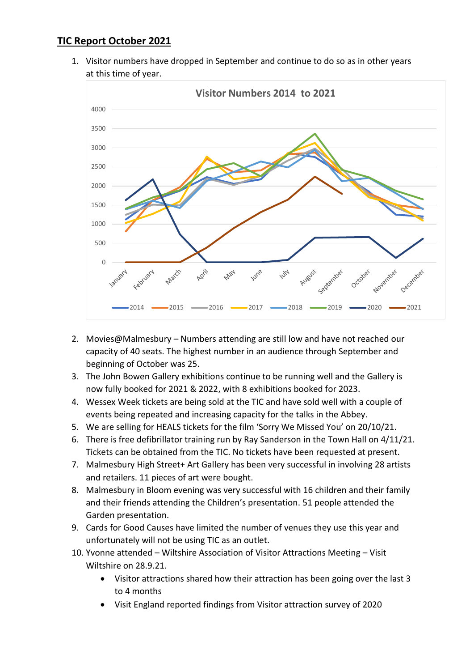## **TIC Report October 2021**

1. Visitor numbers have dropped in September and continue to do so as in other years at this time of year.



- 2. Movies@Malmesbury Numbers attending are still low and have not reached our capacity of 40 seats. The highest number in an audience through September and beginning of October was 25.
- 3. The John Bowen Gallery exhibitions continue to be running well and the Gallery is now fully booked for 2021 & 2022, with 8 exhibitions booked for 2023.
- 4. Wessex Week tickets are being sold at the TIC and have sold well with a couple of events being repeated and increasing capacity for the talks in the Abbey.
- 5. We are selling for HEALS tickets for the film 'Sorry We Missed You' on 20/10/21.
- 6. There is free defibrillator training run by Ray Sanderson in the Town Hall on 4/11/21. Tickets can be obtained from the TIC. No tickets have been requested at present.
- 7. Malmesbury High Street+ Art Gallery has been very successful in involving 28 artists and retailers. 11 pieces of art were bought.
- 8. Malmesbury in Bloom evening was very successful with 16 children and their family and their friends attending the Children's presentation. 51 people attended the Garden presentation.
- 9. Cards for Good Causes have limited the number of venues they use this year and unfortunately will not be using TIC as an outlet.
- 10. Yvonne attended Wiltshire Association of Visitor Attractions Meeting Visit Wiltshire on 28.9.21.
	- Visitor attractions shared how their attraction has been going over the last 3 to 4 months
	- Visit England reported findings from Visitor attraction survey of 2020